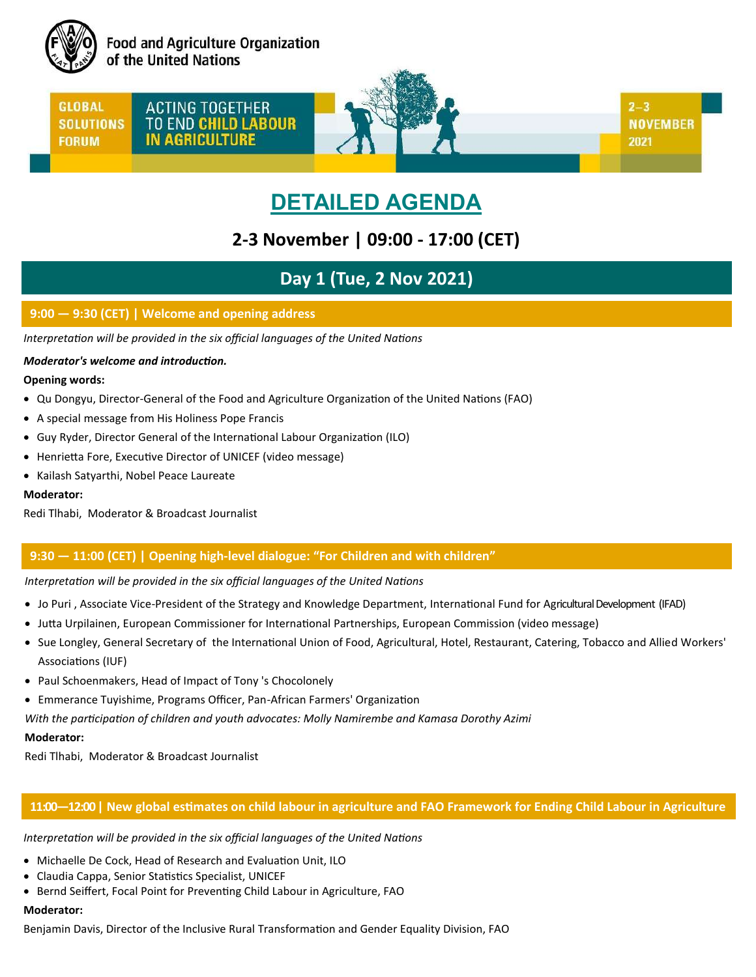

**Food and Agriculture Organization** of the United Nations

**GLOBAL SOLUTIONS FORUM** 

ACTING TOGETHER TO END CHILD LABOUR **IN AGRICULTURE** 



**NOVEMBER** 2021

 $2 - 3$ 

# **DETAILED AGENDA**

# **2-3 November | 09:00 - 17:00 (CET)**

# **Day 1 (Tue, 2 Nov 2021)**

# **9:00 — 9:30 (CET) | Welcome and opening address**

*Interpretation will be provided in the six official languages of the United Nations*

# *Moderator's welcome and introduction.*

# **Opening words:**

- Qu Dongyu, Director-General of the Food and Agriculture Organization of the United Nations (FAO)
- A special message from His Holiness Pope Francis
- Guy Ryder, Director General of the International Labour Organization (ILO)
- Henrietta Fore, Executive Director of UNICEF (video message)
- Kailash Satyarthi, Nobel Peace Laureate

# **Moderator:**

Redi Tlhabi, Moderator & Broadcast Journalist

# **9:30 — 11:00 (CET) | Opening high-level dialogue: "For Children and with children"**

# *Interpretation will be provided in the six official languages of the United Nations*

- Jo Puri , Associate Vice-President of the Strategy and Knowledge Department, International Fund for Agricultural Development (IFAD)
- Jutta Urpilainen, European Commissioner for International Partnerships, European Commission (video message)
- Sue Longley, General Secretary of the International Union of Food, Agricultural, Hotel, Restaurant, Catering, Tobacco and Allied Workers' Associations (IUF)
- Paul Schoenmakers, Head of Impact of Tony 's Chocolonely
- Emmerance Tuyishime, Programs Officer, Pan-African Farmers' Organization

*With the participation of children and youth advocates: Molly Namirembe and Kamasa Dorothy Azimi*

# **Moderator:**

Redi Tlhabi, Moderator & Broadcast Journalist

# **11:00—12:00 | New global estimates on child labour in agriculture and FAO Framework for Ending Child Labour in Agriculture**

#### *Interpretation will be provided in the six official languages of the United Nations*

- Michaelle De Cock, Head of Research and Evaluation Unit, ILO
- Claudia Cappa, Senior Statistics Specialist, UNICEF
- **Bernd Seiffert, Focal Point for Preventing Child Labour in Agriculture, FAO**

# **Moderator:**

Benjamin Davis, Director of the Inclusive Rural Transformation and Gender Equality Division, FAO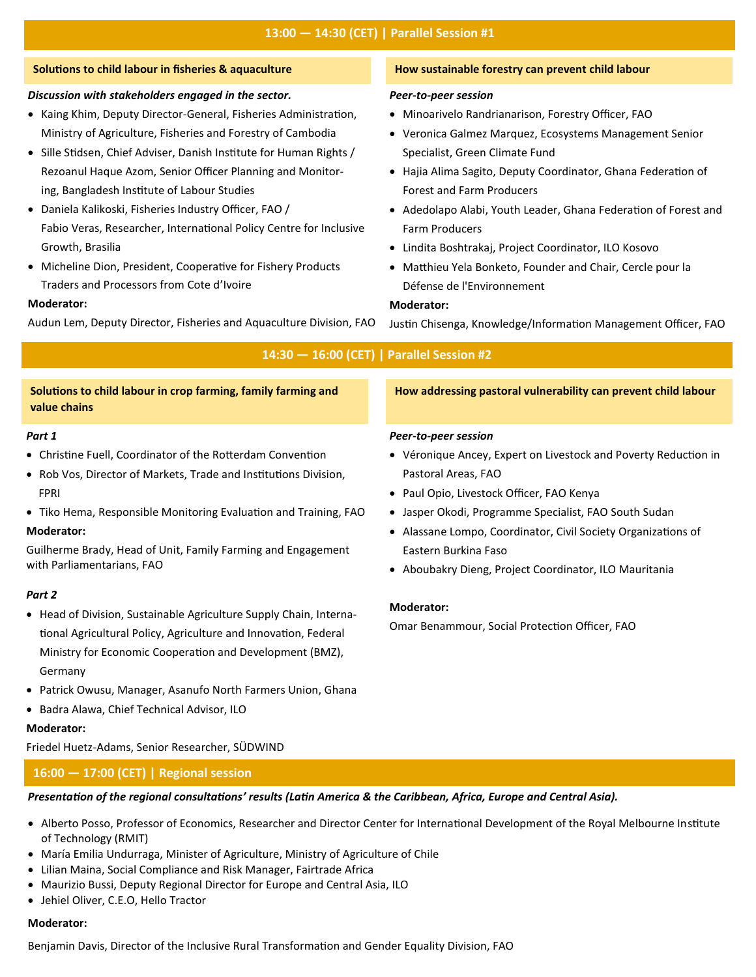#### **Solutions to child labour in fisheries & aquaculture**

#### *Discussion with stakeholders engaged in the sector.*

- Kaing Khim, Deputy Director-General, Fisheries Administration, Ministry of Agriculture, Fisheries and Forestry of Cambodia
- Sille Stidsen, Chief Adviser, Danish Institute for Human Rights / Rezoanul Haque Azom, Senior Officer Planning and Monitoring, Bangladesh Institute of Labour Studies
- Daniela Kalikoski, Fisheries Industry Officer, FAO / Fabio Veras, Researcher, International Policy Centre for Inclusive Growth, Brasilia
- Micheline Dion, President, Cooperative for Fishery Products Traders and Processors from Cote d'Ivoire

#### **Moderator:**

Audun Lem, Deputy Director, Fisheries and Aquaculture Division, FAO

#### **How sustainable forestry can prevent child labour**

#### *Peer-to-peer session*

- Minoarivelo Randrianarison, Forestry Officer, FAO
- Veronica Galmez Marquez, Ecosystems Management Senior Specialist, Green Climate Fund
- Hajia Alima Sagito, Deputy Coordinator, Ghana Federation of Forest and Farm Producers
- Adedolapo Alabi, Youth Leader, Ghana Federation of Forest and Farm Producers
- Lindita Boshtrakaj, Project Coordinator, ILO Kosovo
- Matthieu Yela Bonketo, Founder and Chair, Cercle pour la Défense de l'Environnement

#### **Moderator:**

Justin Chisenga, Knowledge/Information Management Officer, FAO

|  | 14:30 - 16:00 (CET)   Parallel Session #2 |
|--|-------------------------------------------|
|  |                                           |

| How addressing pastoral vulnerability can prevent child labour                                                                                                                                                                                                                               |
|----------------------------------------------------------------------------------------------------------------------------------------------------------------------------------------------------------------------------------------------------------------------------------------------|
| <b>Peer-to-peer session</b><br>• Véronique Ancey, Expert on Livestock and Poverty Reduction in<br>Pastoral Areas, FAO<br>• Paul Opio, Livestock Officer, FAO Kenya<br>• Jasper Okodi, Programme Specialist, FAO South Sudan<br>• Alassane Lompo, Coordinator, Civil Society Organizations of |
| Eastern Burkina Faso<br>• Aboubakry Dieng, Project Coordinator, ILO Mauritania<br><b>Moderator:</b><br>Omar Benammour, Social Protection Officer, FAO                                                                                                                                        |
|                                                                                                                                                                                                                                                                                              |

- Patrick Owusu, Manager, Asanufo North Farmers Union, Ghana
- Badra Alawa, Chief Technical Advisor, ILO

# **Moderator:**

Germany

Friedel Huetz-Adams, Senior Researcher, SÜDWIND

# **16:00 — 17:00 (CET) | Regional session**

# *Presentation of the regional consultations' results (Latin America & the Caribbean, Africa, Europe and Central Asia).*

- Alberto Posso, Professor of Economics, Researcher and Director Center for International Development of the Royal Melbourne Institute of Technology (RMIT)
- María Emilia Undurraga, Minister of Agriculture, Ministry of Agriculture of Chile
- Lilian Maina, Social Compliance and Risk Manager, Fairtrade Africa
- Maurizio Bussi, Deputy Regional Director for Europe and Central Asia, ILO
- Jehiel Oliver, C.E.O, Hello Tractor

# **Moderator:**

Benjamin Davis, Director of the Inclusive Rural Transformation and Gender Equality Division, FAO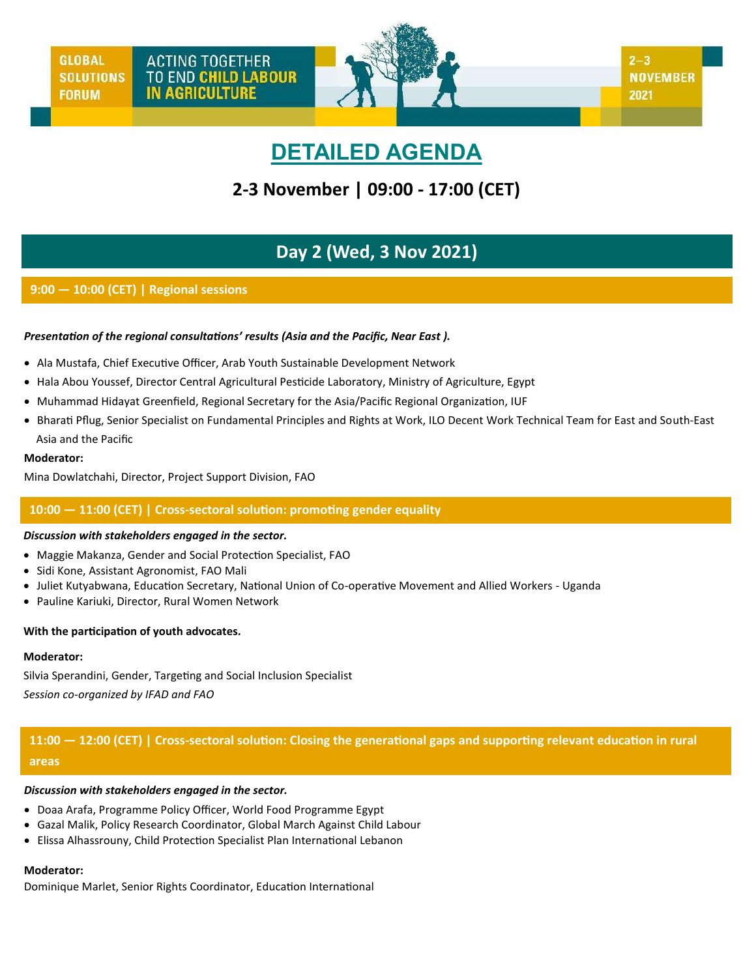# **DETAILED AGENDA**

# **2-3 November | 09:00 - 17:00 (CET)**

# **Day 2 (Wed, 3 Nov 2021)**

# **9:00 — 10:00 (CET) | Regional sessions**

# *Presentation of the regional consultations' results (Asia and the Pacific, Near East ).*

- Ala Mustafa, Chief Executive Officer, Arab Youth Sustainable Development Network
- Hala Abou Youssef, Director Central Agricultural Pesticide Laboratory, Ministry of Agriculture, Egypt
- Muhammad Hidayat Greenfield, Regional Secretary for the Asia/Pacific Regional Organization, IUF
- Bharati Pflug, Senior Specialist on Fundamental Principles and Rights at Work, ILO Decent Work Technical Team for East and South-East Asia and the Pacific

#### **Moderator:**

Mina Dowlatchahi, Director, Project Support Division, FAO

# **10:00 — 11:00 (CET) | Cross-sectoral solution: promoting gender equality**

#### *Discussion with stakeholders engaged in the sector.*

- Maggie Makanza, Gender and Social Protection Specialist, FAO
- Sidi Kone, Assistant Agronomist, FAO Mali
- Juliet Kutyabwana, Education Secretary, National Union of Co-operative Movement and Allied Workers Uganda
- Pauline Kariuki, Director, Rural Women Network

#### **With the participation of youth advocates.**

#### **Moderator:**

Silvia Sperandini, Gender, Targeting and Social Inclusion Specialist *Session co-organized by IFAD and FAO*

**11:00 — 12:00 (CET) | Cross-sectoral solution: Closing the generational gaps and supporting relevant education in rural areas**

# *Discussion with stakeholders engaged in the sector.*

- Doaa Arafa, Programme Policy Officer, World Food Programme Egypt
- Gazal Malik, Policy Research Coordinator, Global March Against Child Labour
- Elissa Alhassrouny, Child Protection Specialist Plan International Lebanon

#### **Moderator:**

Dominique Marlet, Senior Rights Coordinator, Education International